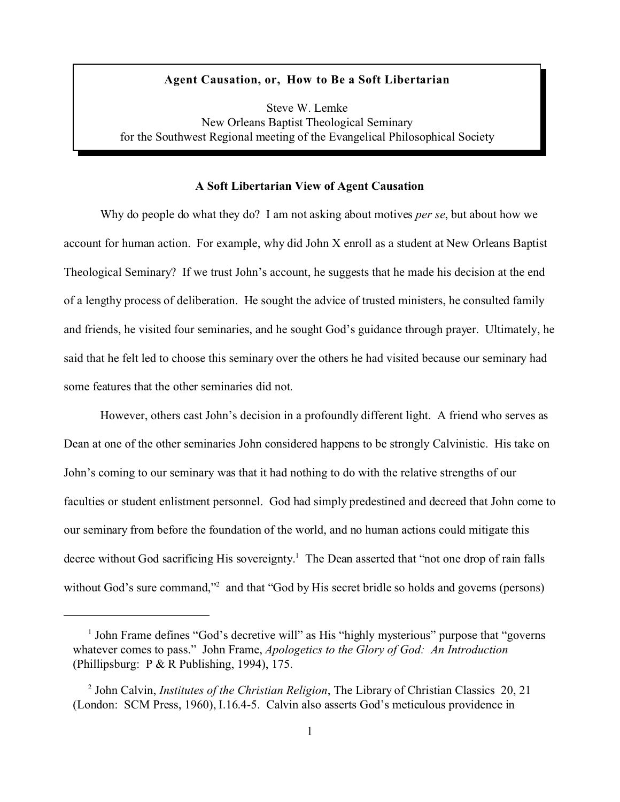### **Agent Causation, or, How to Be a Soft Libertarian**

Steve W. Lemke New Orleans Baptist Theological Seminary for the Southwest Regional meeting of the Evangelical Philosophical Society

### **A Soft Libertarian View of Agent Causation**

Why do people do what they do? I am not asking about motives *per se*, but about how we account for human action. For example, why did John X enroll as a student at New Orleans Baptist Theological Seminary? If we trust John's account, he suggests that he made his decision at the end of a lengthy process of deliberation. He sought the advice of trusted ministers, he consulted family and friends, he visited four seminaries, and he sought God's guidance through prayer. Ultimately, he said that he felt led to choose this seminary over the others he had visited because our seminary had some features that the other seminaries did not.

However, others cast John's decision in a profoundly different light. A friend who serves as Dean at one of the other seminaries John considered happens to be strongly Calvinistic. His take on John's coming to our seminary was that it had nothing to do with the relative strengths of our faculties or student enlistment personnel. God had simply predestined and decreed that John come to our seminary from before the foundation of the world, and no human actions could mitigate this decree without God sacrificing His sovereignty.<sup>1</sup> The Dean asserted that "not one drop of rain falls without God's sure command,"<sup>2</sup> and that "God by His secret bridle so holds and governs (persons)

<sup>&</sup>lt;sup>1</sup> John Frame defines "God's decretive will" as His "highly mysterious" purpose that "governs whatever comes to pass." John Frame, *Apologetics to the Glory of God: An Introduction* (Phillipsburg: P & R Publishing, 1994), 175.

<sup>2</sup> John Calvin, *Institutes of the Christian Religion*, The Library of Christian Classics 20, 21 (London: SCM Press, 1960), I.16.4-5. Calvin also asserts God's meticulous providence in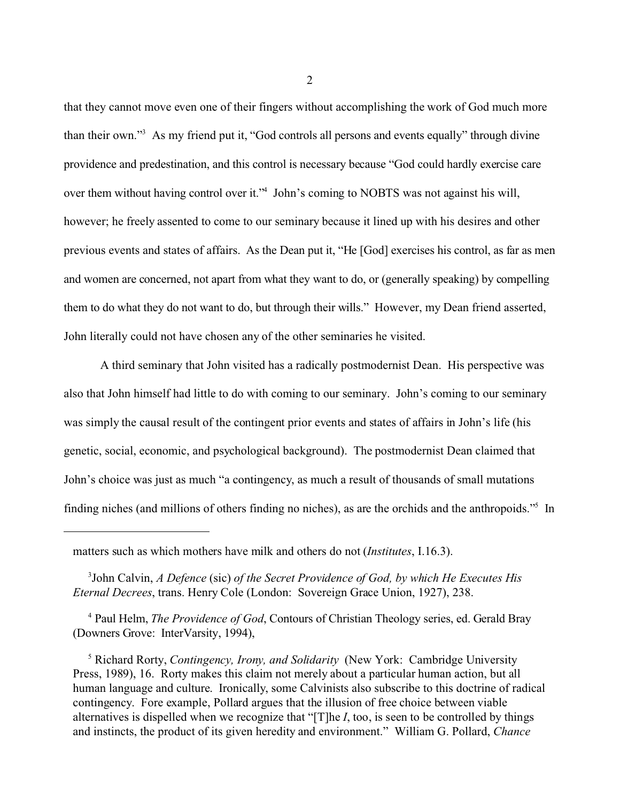that they cannot move even one of their fingers without accomplishing the work of God much more than their own."<sup>3</sup> As my friend put it, "God controls all persons and events equally" through divine providence and predestination, and this control is necessary because "God could hardly exercise care over them without having control over it."<sup>4</sup> John's coming to NOBTS was not against his will, however; he freely assented to come to our seminary because it lined up with his desires and other previous events and states of affairs. As the Dean put it, "He [God] exercises his control, as far as men and women are concerned, not apart from what they want to do, or (generally speaking) by compelling them to do what they do not want to do, but through their wills." However, my Dean friend asserted, John literally could not have chosen any of the other seminaries he visited.

A third seminary that John visited has a radically postmodernist Dean. His perspective was also that John himself had little to do with coming to our seminary. John's coming to our seminary was simply the causal result of the contingent prior events and states of affairs in John's life (his genetic, social, economic, and psychological background). The postmodernist Dean claimed that John's choice was just as much "a contingency, as much a result of thousands of small mutations finding niches (and millions of others finding no niches), as are the orchids and the anthropoids."<sup>5</sup> In

<sup>4</sup> Paul Helm, *The Providence of God*, Contours of Christian Theology series, ed. Gerald Bray (Downers Grove: InterVarsity, 1994),

5 Richard Rorty, *Contingency, Irony, and Solidarity* (New York: Cambridge University Press, 1989), 16. Rorty makes this claim not merely about a particular human action, but all human language and culture. Ironically, some Calvinists also subscribe to this doctrine of radical contingency. Fore example, Pollard argues that the illusion of free choice between viable alternatives is dispelled when we recognize that "[T]he *I*, too, is seen to be controlled by things and instincts, the product of its given heredity and environment." William G. Pollard, *Chance*

matters such as which mothers have milk and others do not (*Institutes*, I.16.3).

<sup>3</sup> John Calvin, *A Defence* (sic) *of the Secret Providence of God, by which He Executes His Eternal Decrees*, trans. Henry Cole (London: Sovereign Grace Union, 1927), 238.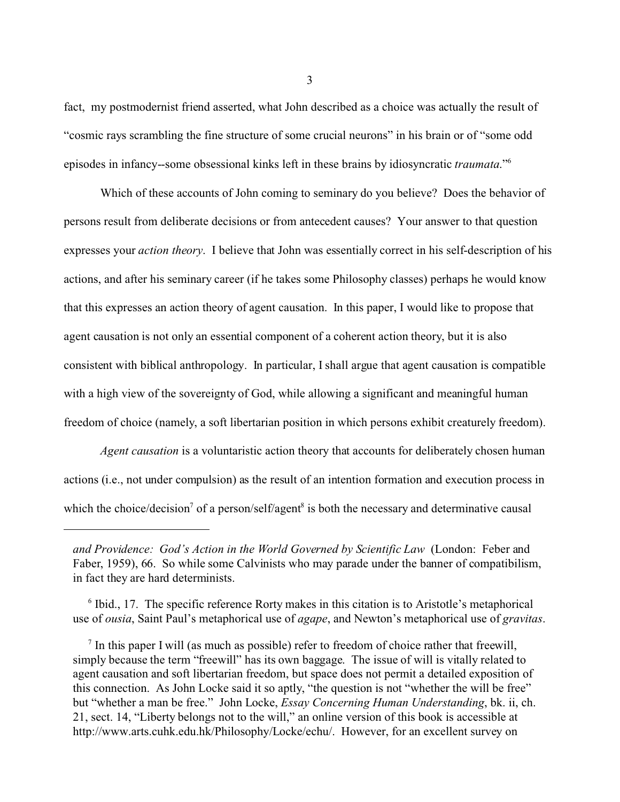fact, my postmodernist friend asserted, what John described as a choice was actually the result of "cosmic rays scrambling the fine structure of some crucial neurons" in his brain or of "some odd episodes in infancy--some obsessional kinks left in these brains by idiosyncratic *traumata*."<sup>6</sup>

Which of these accounts of John coming to seminary do you believe? Does the behavior of persons result from deliberate decisions or from antecedent causes? Your answer to that question expresses your *action theory*. I believe that John was essentially correct in his self-description of his actions, and after his seminary career (if he takes some Philosophy classes) perhaps he would know that this expresses an action theory of agent causation. In this paper, I would like to propose that agent causation is not only an essential component of a coherent action theory, but it is also consistent with biblical anthropology. In particular, I shall argue that agent causation is compatible with a high view of the sovereignty of God, while allowing a significant and meaningful human freedom of choice (namely, a soft libertarian position in which persons exhibit creaturely freedom).

*Agent causation* is a voluntaristic action theory that accounts for deliberately chosen human actions (i.e., not under compulsion) as the result of an intention formation and execution process in which the choice/decision<sup>7</sup> of a person/self/agent<sup>8</sup> is both the necessary and determinative causal

<sup>6</sup> Ibid., 17. The specific reference Rorty makes in this citation is to Aristotle's metaphorical use of *ousia*, Saint Paul's metaphorical use of *agape*, and Newton's metaphorical use of *gravitas*.

*and Providence: God's Action in the World Governed by Scientific Law* (London: Feber and Faber, 1959), 66. So while some Calvinists who may parade under the banner of compatibilism, in fact they are hard determinists.

 $<sup>7</sup>$  In this paper I will (as much as possible) refer to freedom of choice rather that freewill,</sup> simply because the term "freewill" has its own baggage. The issue of will is vitally related to agent causation and soft libertarian freedom, but space does not permit a detailed exposition of this connection. As John Locke said it so aptly, "the question is not "whether the will be free" but "whether a man be free." John Locke, *Essay Concerning Human Understanding*, bk. ii, ch. 21, sect. 14, "Liberty belongs not to the will," an online version of this book is accessible at http://www.arts.cuhk.edu.hk/Philosophy/Locke/echu/. However, for an excellent survey on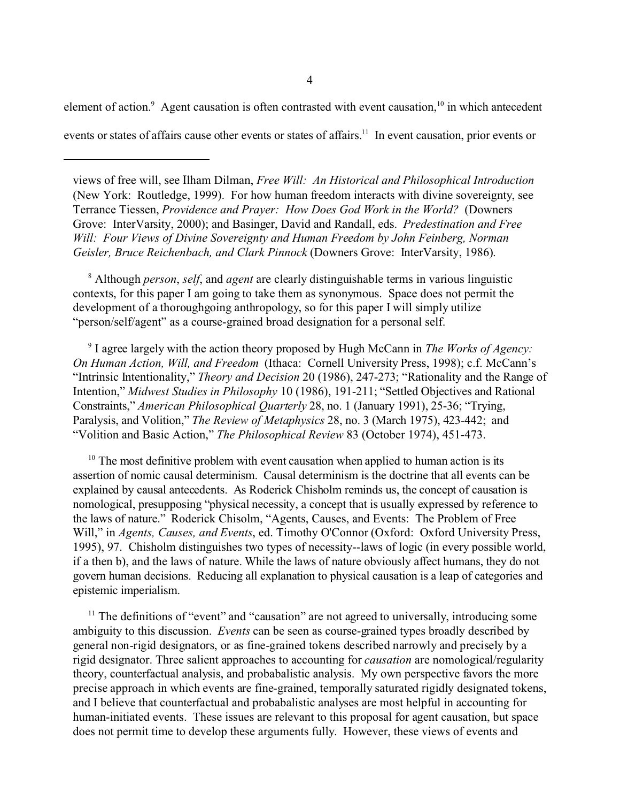element of action. $9$  Agent causation is often contrasted with event causation,  $10$  in which antecedent

events or states of affairs cause other events or states of affairs.<sup>11</sup> In event causation, prior events or

8 Although *person*, *self*, and *agent* are clearly distinguishable terms in various linguistic contexts, for this paper I am going to take them as synonymous. Space does not permit the development of a thoroughgoing anthropology, so for this paper I will simply utilize "person/self/agent" as a course-grained broad designation for a personal self.

9 I agree largely with the action theory proposed by Hugh McCann in *The Works of Agency: On Human Action, Will, and Freedom* (Ithaca: Cornell University Press, 1998); c.f. McCann's "Intrinsic Intentionality," *Theory and Decision* 20 (1986), 247-273; "Rationality and the Range of Intention," *Midwest Studies in Philosophy* 10 (1986), 191-211; "Settled Objectives and Rational Constraints," *American Philosophical Quarterly* 28, no. 1 (January 1991), 25-36; "Trying, Paralysis, and Volition," *The Review of Metaphysics* 28, no. 3 (March 1975), 423-442; and "Volition and Basic Action," *The Philosophical Review* 83 (October 1974), 451-473.

 $10$  The most definitive problem with event causation when applied to human action is its assertion of nomic causal determinism. Causal determinism is the doctrine that all events can be explained by causal antecedents. As Roderick Chisholm reminds us, the concept of causation is nomological, presupposing "physical necessity, a concept that is usually expressed by reference to the laws of nature." Roderick Chisolm, "Agents, Causes, and Events: The Problem of Free Will," in *Agents, Causes, and Events*, ed. Timothy O'Connor (Oxford: Oxford University Press, 1995), 97. Chisholm distinguishes two types of necessity--laws of logic (in every possible world, if a then b), and the laws of nature. While the laws of nature obviously affect humans, they do not govern human decisions. Reducing all explanation to physical causation is a leap of categories and epistemic imperialism.

 $11$  The definitions of "event" and "causation" are not agreed to universally, introducing some ambiguity to this discussion. *Events* can be seen as course-grained types broadly described by general non-rigid designators, or as fine-grained tokens described narrowly and precisely by a rigid designator. Three salient approaches to accounting for *causation* are nomological/regularity theory, counterfactual analysis, and probabalistic analysis. My own perspective favors the more precise approach in which events are fine-grained, temporally saturated rigidly designated tokens, and I believe that counterfactual and probabalistic analyses are most helpful in accounting for human-initiated events. These issues are relevant to this proposal for agent causation, but space does not permit time to develop these arguments fully. However, these views of events and

views of free will, see Ilham Dilman, *Free Will: An Historical and Philosophical Introduction* (New York: Routledge, 1999). For how human freedom interacts with divine sovereignty, see Terrance Tiessen, *Providence and Prayer: How Does God Work in the World?* (Downers Grove: InterVarsity, 2000); and Basinger, David and Randall, eds. *Predestination and Free Will: Four Views of Divine Sovereignty and Human Freedom by John Feinberg, Norman Geisler, Bruce Reichenbach, and Clark Pinnock* (Downers Grove: InterVarsity, 1986).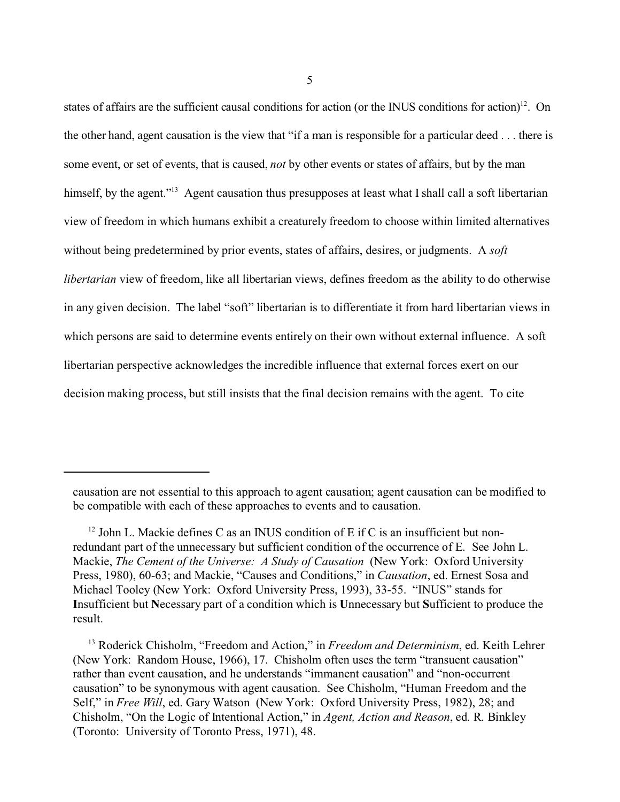states of affairs are the sufficient causal conditions for action (or the INUS conditions for action)<sup>12</sup>. On the other hand, agent causation is the view that "if a man is responsible for a particular deed . . . there is some event, or set of events, that is caused, *not* by other events or states of affairs, but by the man himself, by the agent."<sup>13</sup> Agent causation thus presupposes at least what I shall call a soft libertarian view of freedom in which humans exhibit a creaturely freedom to choose within limited alternatives without being predetermined by prior events, states of affairs, desires, or judgments. A *soft libertarian* view of freedom, like all libertarian views, defines freedom as the ability to do otherwise in any given decision. The label "soft" libertarian is to differentiate it from hard libertarian views in which persons are said to determine events entirely on their own without external influence. A soft libertarian perspective acknowledges the incredible influence that external forces exert on our decision making process, but still insists that the final decision remains with the agent. To cite

causation are not essential to this approach to agent causation; agent causation can be modified to be compatible with each of these approaches to events and to causation.

<sup>&</sup>lt;sup>12</sup> John L. Mackie defines C as an INUS condition of E if C is an insufficient but nonredundant part of the unnecessary but sufficient condition of the occurrence of E. See John L. Mackie, *The Cement of the Universe: A Study of Causation* (New York: Oxford University Press, 1980), 60-63; and Mackie, "Causes and Conditions," in *Causation*, ed. Ernest Sosa and Michael Tooley (New York: Oxford University Press, 1993), 33-55. "INUS" stands for **I**nsufficient but **N**ecessary part of a condition which is **U**nnecessary but **S**ufficient to produce the result.

<sup>&</sup>lt;sup>13</sup> Roderick Chisholm, "Freedom and Action," in *Freedom and Determinism*, ed. Keith Lehrer (New York: Random House, 1966), 17. Chisholm often uses the term "transuent causation" rather than event causation, and he understands "immanent causation" and "non-occurrent causation" to be synonymous with agent causation. See Chisholm, "Human Freedom and the Self," in *Free Will*, ed. Gary Watson (New York: Oxford University Press, 1982), 28; and Chisholm, "On the Logic of Intentional Action," in *Agent, Action and Reason*, ed. R. Binkley (Toronto: University of Toronto Press, 1971), 48.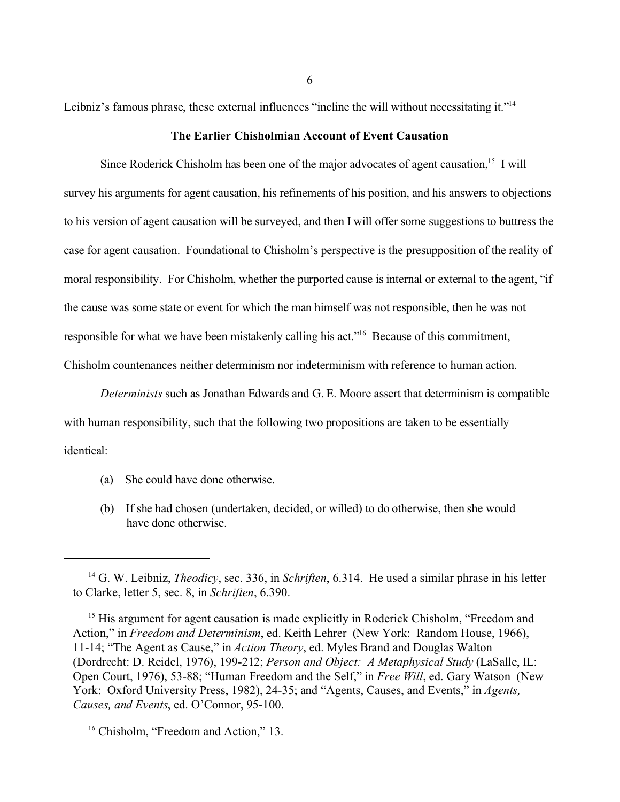Leibniz's famous phrase, these external influences "incline the will without necessitating it."<sup>14</sup>

# **The Earlier Chisholmian Account of Event Causation**

Since Roderick Chisholm has been one of the major advocates of agent causation,  $15$  I will survey his arguments for agent causation, his refinements of his position, and his answers to objections to his version of agent causation will be surveyed, and then I will offer some suggestions to buttress the case for agent causation. Foundational to Chisholm's perspective is the presupposition of the reality of moral responsibility. For Chisholm, whether the purported cause is internal or external to the agent, "if the cause was some state or event for which the man himself was not responsible, then he was not responsible for what we have been mistakenly calling his act."<sup>16</sup> Because of this commitment, Chisholm countenances neither determinism nor indeterminism with reference to human action.

*Determinists* such as Jonathan Edwards and G. E. Moore assert that determinism is compatible with human responsibility, such that the following two propositions are taken to be essentially identical:

- (a) She could have done otherwise.
- (b) If she had chosen (undertaken, decided, or willed) to do otherwise, then she would have done otherwise.

<sup>14</sup> G. W. Leibniz, *Theodicy*, sec. 336, in *Schriften*, 6.314. He used a similar phrase in his letter to Clarke, letter 5, sec. 8, in *Schriften*, 6.390.

<sup>&</sup>lt;sup>15</sup> His argument for agent causation is made explicitly in Roderick Chisholm, "Freedom and Action," in *Freedom and Determinism*, ed. Keith Lehrer (New York: Random House, 1966), 11-14; "The Agent as Cause," in *Action Theory*, ed. Myles Brand and Douglas Walton (Dordrecht: D. Reidel, 1976), 199-212; *Person and Object: A Metaphysical Study* (LaSalle, IL: Open Court, 1976), 53-88; "Human Freedom and the Self," in *Free Will*, ed. Gary Watson (New York: Oxford University Press, 1982), 24-35; and "Agents, Causes, and Events," in *Agents, Causes, and Events*, ed. O'Connor, 95-100.

<sup>&</sup>lt;sup>16</sup> Chisholm, "Freedom and Action," 13.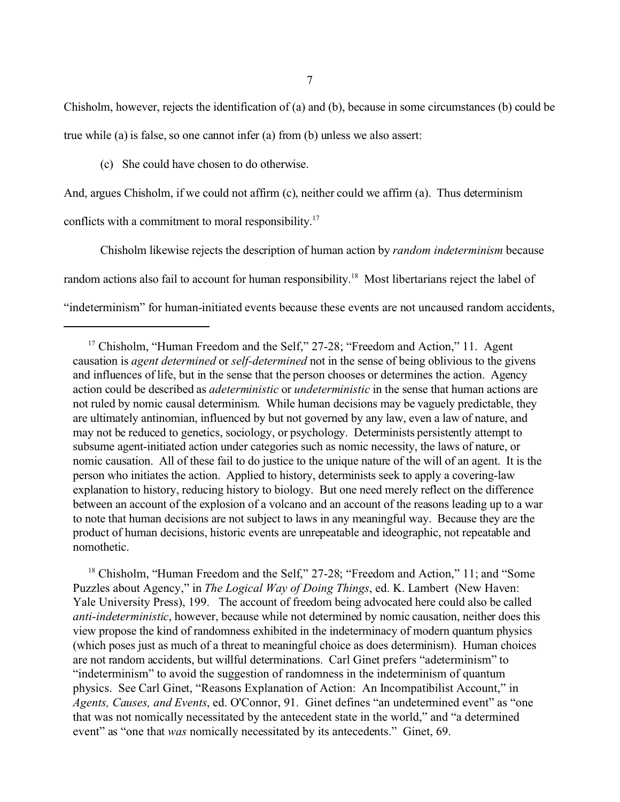7

Chisholm, however, rejects the identification of (a) and (b), because in some circumstances (b) could be true while (a) is false, so one cannot infer (a) from (b) unless we also assert:

(c) She could have chosen to do otherwise.

And, argues Chisholm, if we could not affirm (c), neither could we affirm (a). Thus determinism

conflicts with a commitment to moral responsibility.<sup>17</sup>

Chisholm likewise rejects the description of human action by *random indeterminism* because random actions also fail to account for human responsibility.<sup>18</sup> Most libertarians reject the label of "indeterminism" for human-initiated events because these events are not uncaused random accidents,

<sup>18</sup> Chisholm, "Human Freedom and the Self," 27-28; "Freedom and Action," 11; and "Some Puzzles about Agency," in *The Logical Way of Doing Things*, ed. K. Lambert (New Haven: Yale University Press), 199. The account of freedom being advocated here could also be called *anti-indeterministic*, however, because while not determined by nomic causation, neither does this view propose the kind of randomness exhibited in the indeterminacy of modern quantum physics (which poses just as much of a threat to meaningful choice as does determinism). Human choices are not random accidents, but willful determinations. Carl Ginet prefers "adeterminism" to "indeterminism" to avoid the suggestion of randomness in the indeterminism of quantum physics. See Carl Ginet, "Reasons Explanation of Action: An Incompatibilist Account," in *Agents, Causes, and Events*, ed. O'Connor, 91. Ginet defines "an undetermined event" as "one that was not nomically necessitated by the antecedent state in the world," and "a determined event" as "one that *was* nomically necessitated by its antecedents." Ginet, 69.

<sup>&</sup>lt;sup>17</sup> Chisholm, "Human Freedom and the Self," 27-28; "Freedom and Action," 11. Agent causation is *agent determined* or *self-determined* not in the sense of being oblivious to the givens and influences of life, but in the sense that the person chooses or determines the action. Agency action could be described as *adeterministic* or *undeterministic* in the sense that human actions are not ruled by nomic causal determinism. While human decisions may be vaguely predictable, they are ultimately antinomian, influenced by but not governed by any law, even a law of nature, and may not be reduced to genetics, sociology, or psychology. Determinists persistently attempt to subsume agent-initiated action under categories such as nomic necessity, the laws of nature, or nomic causation. All of these fail to do justice to the unique nature of the will of an agent. It is the person who initiates the action. Applied to history, determinists seek to apply a covering-law explanation to history, reducing history to biology. But one need merely reflect on the difference between an account of the explosion of a volcano and an account of the reasons leading up to a war to note that human decisions are not subject to laws in any meaningful way. Because they are the product of human decisions, historic events are unrepeatable and ideographic, not repeatable and nomothetic.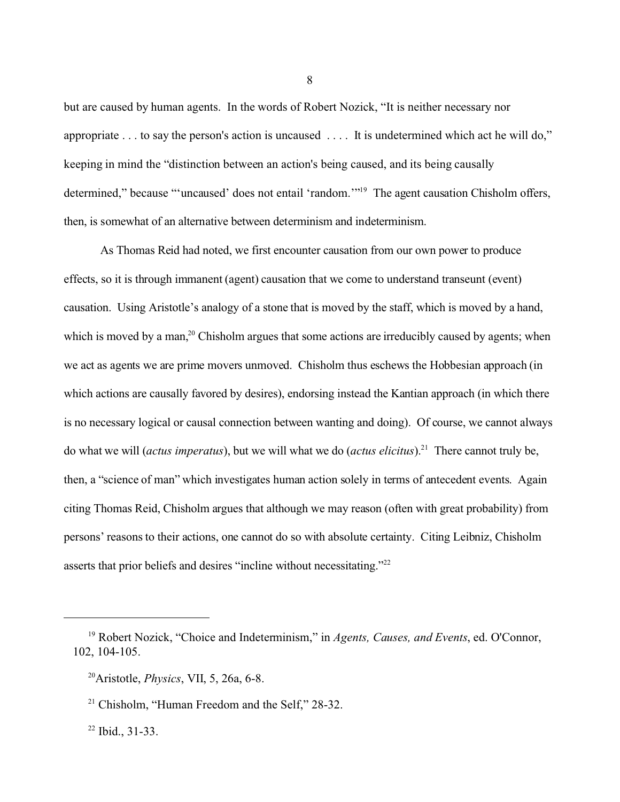but are caused by human agents. In the words of Robert Nozick, "It is neither necessary nor appropriate . . . to say the person's action is uncaused . . . . It is undetermined which act he will do," keeping in mind the "distinction between an action's being caused, and its being causally determined," because "'uncaused' does not entail 'random."<sup>19</sup> The agent causation Chisholm offers, then, is somewhat of an alternative between determinism and indeterminism.

As Thomas Reid had noted, we first encounter causation from our own power to produce effects, so it is through immanent (agent) causation that we come to understand transeunt (event) causation. Using Aristotle's analogy of a stone that is moved by the staff, which is moved by a hand, which is moved by a man,<sup>20</sup> Chisholm argues that some actions are irreducibly caused by agents; when we act as agents we are prime movers unmoved. Chisholm thus eschews the Hobbesian approach (in which actions are causally favored by desires), endorsing instead the Kantian approach (in which there is no necessary logical or causal connection between wanting and doing). Of course, we cannot always do what we will (*actus imperatus*), but we will what we do (*actus elicitus*).<sup>21</sup> There cannot truly be, then, a "science of man" which investigates human action solely in terms of antecedent events. Again citing Thomas Reid, Chisholm argues that although we may reason (often with great probability) from persons' reasons to their actions, one cannot do so with absolute certainty. Citing Leibniz, Chisholm asserts that prior beliefs and desires "incline without necessitating."22

<sup>22</sup> Ibid., 31-33.

<sup>19</sup> Robert Nozick, "Choice and Indeterminism," in *Agents, Causes, and Events*, ed. O'Connor, 102, 104-105.

<sup>20</sup>Aristotle, *Physics*, VII, 5, 26a, 6-8.

 $21$  Chisholm, "Human Freedom and the Self," 28-32.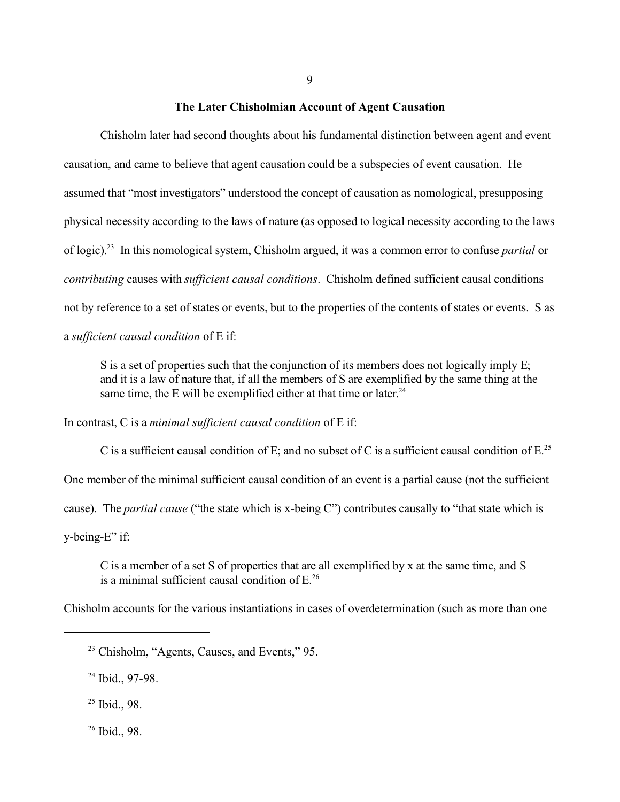#### **The Later Chisholmian Account of Agent Causation**

Chisholm later had second thoughts about his fundamental distinction between agent and event causation, and came to believe that agent causation could be a subspecies of event causation. He assumed that "most investigators" understood the concept of causation as nomological, presupposing physical necessity according to the laws of nature (as opposed to logical necessity according to the laws of logic).<sup>23</sup> In this nomological system, Chisholm argued, it was a common error to confuse *partial* or *contributing* causes with *sufficient causal conditions*. Chisholm defined sufficient causal conditions not by reference to a set of states or events, but to the properties of the contents of states or events. S as a *sufficient causal condition* of E if:

S is a set of properties such that the conjunction of its members does not logically imply E; and it is a law of nature that, if all the members of S are exemplified by the same thing at the same time, the E will be exemplified either at that time or later. $24$ 

In contrast, C is a *minimal sufficient causal condition* of E if:

C is a sufficient causal condition of E; and no subset of C is a sufficient causal condition of  $E^{25}$ One member of the minimal sufficient causal condition of an event is a partial cause (not the sufficient cause). The *partial cause* ("the state which is x-being C") contributes causally to "that state which is y-being-E" if:

C is a member of a set S of properties that are all exemplified by x at the same time, and S is a minimal sufficient causal condition of  $E^{26}$ 

Chisholm accounts for the various instantiations in cases of overdetermination (such as more than one

<sup>24</sup> Ibid., 97-98.

<sup>25</sup> Ibid., 98.

<sup>26</sup> Ibid., 98.

<sup>&</sup>lt;sup>23</sup> Chisholm, "Agents, Causes, and Events," 95.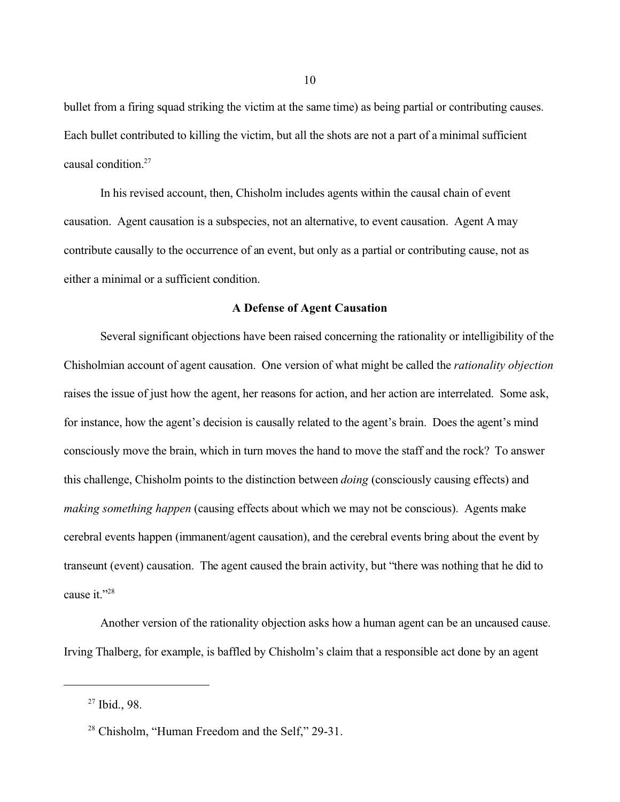bullet from a firing squad striking the victim at the same time) as being partial or contributing causes. Each bullet contributed to killing the victim, but all the shots are not a part of a minimal sufficient causal condition.<sup>27</sup>

In his revised account, then, Chisholm includes agents within the causal chain of event causation. Agent causation is a subspecies, not an alternative, to event causation. Agent A may contribute causally to the occurrence of an event, but only as a partial or contributing cause, not as either a minimal or a sufficient condition.

#### **A Defense of Agent Causation**

Several significant objections have been raised concerning the rationality or intelligibility of the Chisholmian account of agent causation. One version of what might be called the *rationality objection* raises the issue of just how the agent, her reasons for action, and her action are interrelated. Some ask, for instance, how the agent's decision is causally related to the agent's brain. Does the agent's mind consciously move the brain, which in turn moves the hand to move the staff and the rock? To answer this challenge, Chisholm points to the distinction between *doing* (consciously causing effects) and *making something happen* (causing effects about which we may not be conscious). Agents make cerebral events happen (immanent/agent causation), and the cerebral events bring about the event by transeunt (event) causation. The agent caused the brain activity, but "there was nothing that he did to cause it."<sup>28</sup>

Another version of the rationality objection asks how a human agent can be an uncaused cause. Irving Thalberg, for example, is baffled by Chisholm's claim that a responsible act done by an agent

<sup>27</sup> Ibid., 98.

<sup>&</sup>lt;sup>28</sup> Chisholm, "Human Freedom and the Self," 29-31.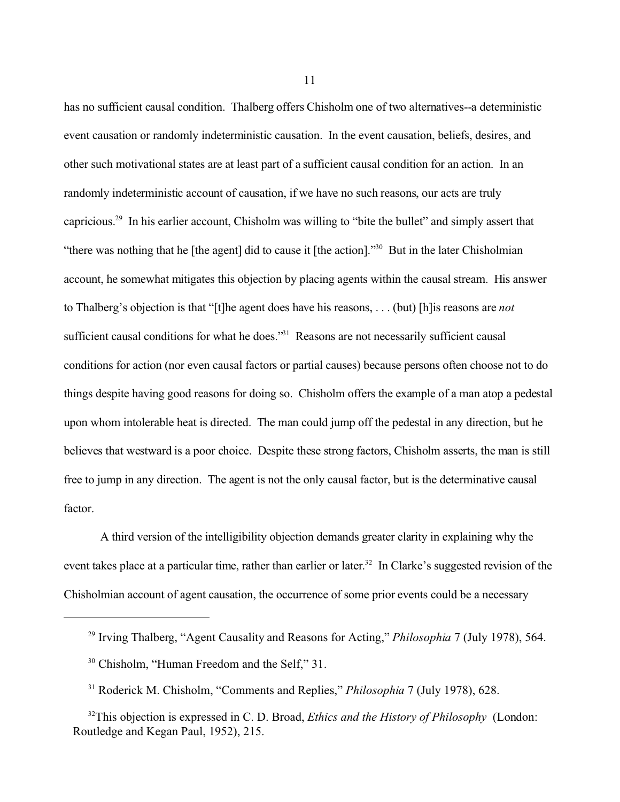has no sufficient causal condition. Thalberg offers Chisholm one of two alternatives--a deterministic event causation or randomly indeterministic causation. In the event causation, beliefs, desires, and other such motivational states are at least part of a sufficient causal condition for an action. In an randomly indeterministic account of causation, if we have no such reasons, our acts are truly capricious.<sup>29</sup> In his earlier account, Chisholm was willing to "bite the bullet" and simply assert that "there was nothing that he [the agent] did to cause it [the action]."<sup>30</sup> But in the later Chisholmian account, he somewhat mitigates this objection by placing agents within the causal stream. His answer to Thalberg's objection is that "[t]he agent does have his reasons, . . . (but) [h]is reasons are *not* sufficient causal conditions for what he does."<sup>31</sup> Reasons are not necessarily sufficient causal conditions for action (nor even causal factors or partial causes) because persons often choose not to do things despite having good reasons for doing so. Chisholm offers the example of a man atop a pedestal upon whom intolerable heat is directed. The man could jump off the pedestal in any direction, but he believes that westward is a poor choice. Despite these strong factors, Chisholm asserts, the man is still free to jump in any direction. The agent is not the only causal factor, but is the determinative causal factor.

A third version of the intelligibility objection demands greater clarity in explaining why the event takes place at a particular time, rather than earlier or later.<sup>32</sup> In Clarke's suggested revision of the Chisholmian account of agent causation, the occurrence of some prior events could be a necessary

<sup>29</sup> Irving Thalberg, "Agent Causality and Reasons for Acting," *Philosophia* 7 (July 1978), 564.

<sup>&</sup>lt;sup>30</sup> Chisholm, "Human Freedom and the Self," 31.

<sup>31</sup> Roderick M. Chisholm, "Comments and Replies," *Philosophia* 7 (July 1978), 628.

<sup>&</sup>lt;sup>32</sup>This objection is expressed in C. D. Broad, *Ethics and the History of Philosophy* (London: Routledge and Kegan Paul, 1952), 215.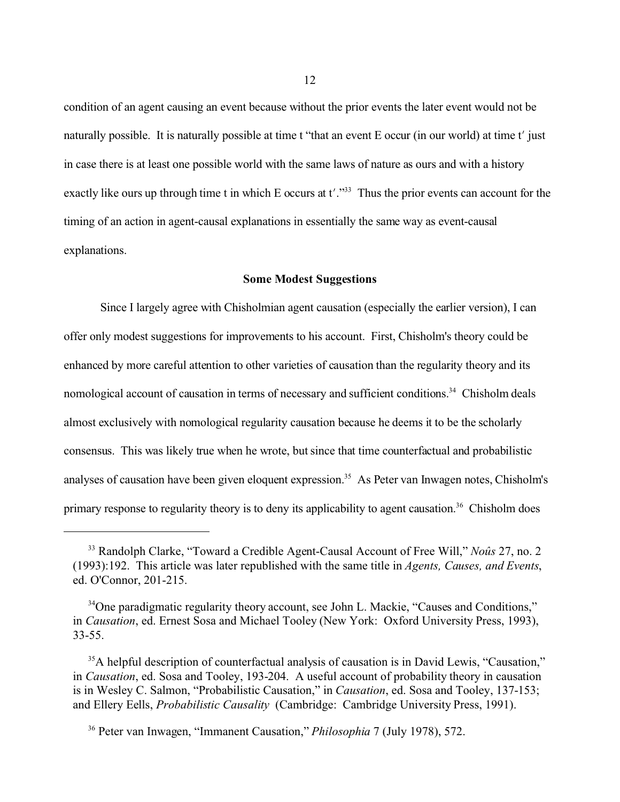condition of an agent causing an event because without the prior events the later event would not be naturally possible. It is naturally possible at time t "that an event E occur (in our world) at time t' just in case there is at least one possible world with the same laws of nature as ours and with a history exactly like ours up through time t in which E occurs at  $t'.\text{''}^{33}$  Thus the prior events can account for the timing of an action in agent-causal explanations in essentially the same way as event-causal explanations.

# **Some Modest Suggestions**

Since I largely agree with Chisholmian agent causation (especially the earlier version), I can offer only modest suggestions for improvements to his account. First, Chisholm's theory could be enhanced by more careful attention to other varieties of causation than the regularity theory and its nomological account of causation in terms of necessary and sufficient conditions.<sup>34</sup> Chisholm deals almost exclusively with nomological regularity causation because he deems it to be the scholarly consensus. This was likely true when he wrote, but since that time counterfactual and probabilistic analyses of causation have been given eloquent expression.<sup>35</sup> As Peter van Inwagen notes, Chisholm's primary response to regularity theory is to deny its applicability to agent causation.<sup>36</sup> Chisholm does

<sup>33</sup> Randolph Clarke, "Toward a Credible Agent-Causal Account of Free Will," *Noûs* 27, no. 2 (1993):192. This article was later republished with the same title in *Agents, Causes, and Events*, ed. O'Connor, 201-215.

<sup>&</sup>lt;sup>34</sup>One paradigmatic regularity theory account, see John L. Mackie, "Causes and Conditions," in *Causation*, ed. Ernest Sosa and Michael Tooley (New York: Oxford University Press, 1993), 33-55.

<sup>&</sup>lt;sup>35</sup>A helpful description of counterfactual analysis of causation is in David Lewis, "Causation," in *Causation*, ed. Sosa and Tooley, 193-204. A useful account of probability theory in causation is in Wesley C. Salmon, "Probabilistic Causation," in *Causation*, ed. Sosa and Tooley, 137-153; and Ellery Eells, *Probabilistic Causality* (Cambridge: Cambridge University Press, 1991).

<sup>36</sup> Peter van Inwagen, "Immanent Causation," *Philosophia* 7 (July 1978), 572.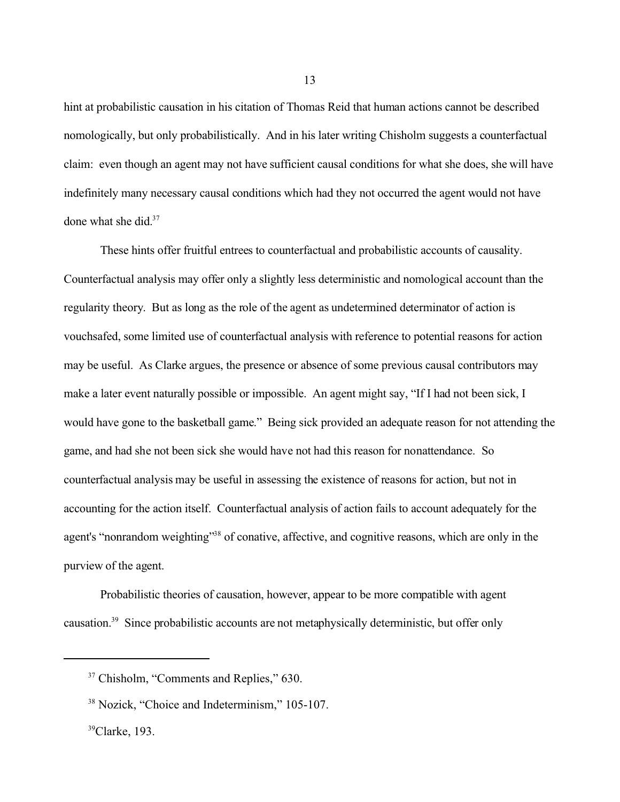hint at probabilistic causation in his citation of Thomas Reid that human actions cannot be described nomologically, but only probabilistically. And in his later writing Chisholm suggests a counterfactual claim: even though an agent may not have sufficient causal conditions for what she does, she will have indefinitely many necessary causal conditions which had they not occurred the agent would not have done what she did.<sup>37</sup>

These hints offer fruitful entrees to counterfactual and probabilistic accounts of causality. Counterfactual analysis may offer only a slightly less deterministic and nomological account than the regularity theory. But as long as the role of the agent as undetermined determinator of action is vouchsafed, some limited use of counterfactual analysis with reference to potential reasons for action may be useful. As Clarke argues, the presence or absence of some previous causal contributors may make a later event naturally possible or impossible. An agent might say, "If I had not been sick, I would have gone to the basketball game." Being sick provided an adequate reason for not attending the game, and had she not been sick she would have not had this reason for nonattendance. So counterfactual analysis may be useful in assessing the existence of reasons for action, but not in accounting for the action itself. Counterfactual analysis of action fails to account adequately for the agent's "nonrandom weighting"<sup>38</sup> of conative, affective, and cognitive reasons, which are only in the purview of the agent.

Probabilistic theories of causation, however, appear to be more compatible with agent causation.39 Since probabilistic accounts are not metaphysically deterministic, but offer only

<sup>&</sup>lt;sup>37</sup> Chisholm, "Comments and Replies," 630.

<sup>&</sup>lt;sup>38</sup> Nozick, "Choice and Indeterminism," 105-107.

<sup>39</sup>Clarke, 193.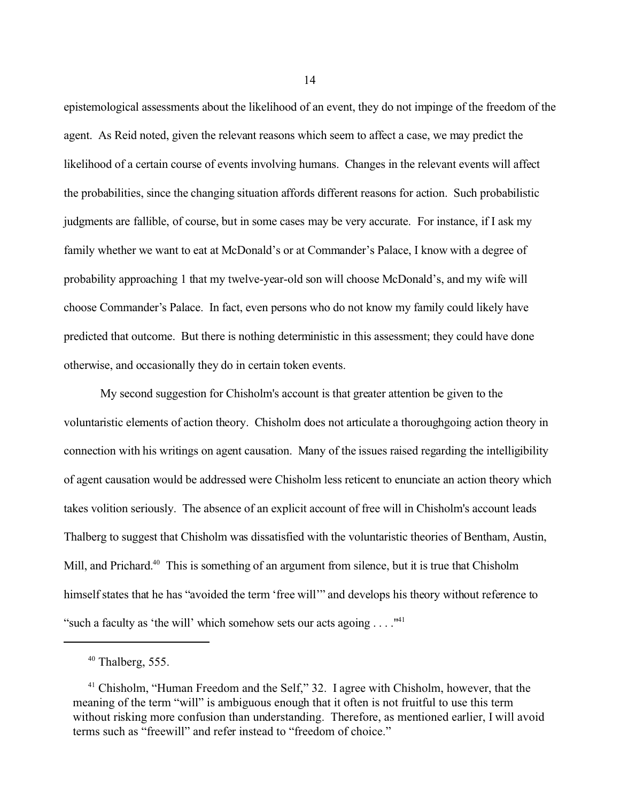epistemological assessments about the likelihood of an event, they do not impinge of the freedom of the agent. As Reid noted, given the relevant reasons which seem to affect a case, we may predict the likelihood of a certain course of events involving humans. Changes in the relevant events will affect the probabilities, since the changing situation affords different reasons for action. Such probabilistic judgments are fallible, of course, but in some cases may be very accurate. For instance, if I ask my family whether we want to eat at McDonald's or at Commander's Palace, I know with a degree of probability approaching 1 that my twelve-year-old son will choose McDonald's, and my wife will choose Commander's Palace. In fact, even persons who do not know my family could likely have predicted that outcome. But there is nothing deterministic in this assessment; they could have done otherwise, and occasionally they do in certain token events.

My second suggestion for Chisholm's account is that greater attention be given to the voluntaristic elements of action theory. Chisholm does not articulate a thoroughgoing action theory in connection with his writings on agent causation. Many of the issues raised regarding the intelligibility of agent causation would be addressed were Chisholm less reticent to enunciate an action theory which takes volition seriously. The absence of an explicit account of free will in Chisholm's account leads Thalberg to suggest that Chisholm was dissatisfied with the voluntaristic theories of Bentham, Austin, Mill, and Prichard.<sup>40</sup> This is something of an argument from silence, but it is true that Chisholm himself states that he has "avoided the term 'free will'" and develops his theory without reference to "such a faculty as 'the will' which somehow sets our acts agoing . . . ."<sup>41</sup>

 $40$  Thalberg, 555.

<sup>&</sup>lt;sup>41</sup> Chisholm, "Human Freedom and the Self," 32. I agree with Chisholm, however, that the meaning of the term "will" is ambiguous enough that it often is not fruitful to use this term without risking more confusion than understanding. Therefore, as mentioned earlier, I will avoid terms such as "freewill" and refer instead to "freedom of choice."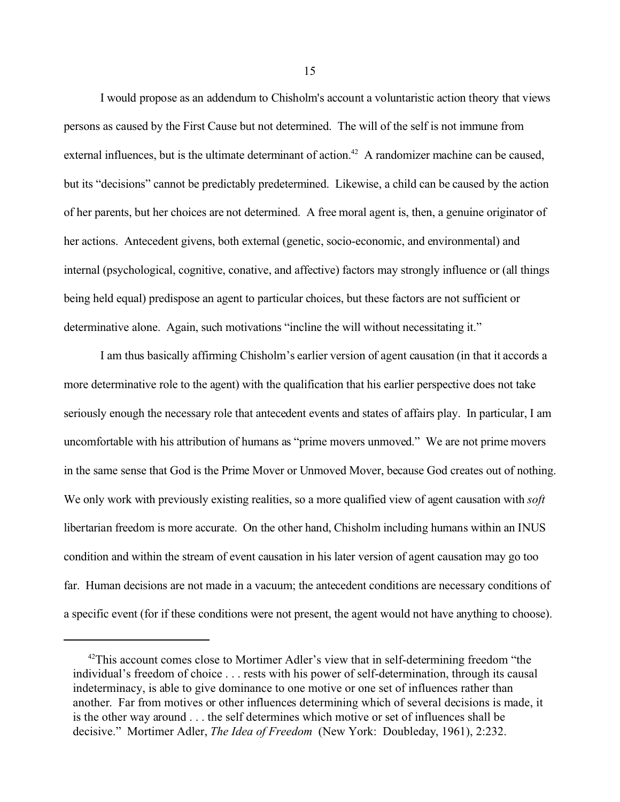I would propose as an addendum to Chisholm's account a voluntaristic action theory that views persons as caused by the First Cause but not determined. The will of the self is not immune from external influences, but is the ultimate determinant of action.<sup>42</sup> A randomizer machine can be caused, but its "decisions" cannot be predictably predetermined. Likewise, a child can be caused by the action of her parents, but her choices are not determined. A free moral agent is, then, a genuine originator of her actions. Antecedent givens, both external (genetic, socio-economic, and environmental) and internal (psychological, cognitive, conative, and affective) factors may strongly influence or (all things being held equal) predispose an agent to particular choices, but these factors are not sufficient or determinative alone. Again, such motivations "incline the will without necessitating it."

I am thus basically affirming Chisholm's earlier version of agent causation (in that it accords a more determinative role to the agent) with the qualification that his earlier perspective does not take seriously enough the necessary role that antecedent events and states of affairs play. In particular, I am uncomfortable with his attribution of humans as "prime movers unmoved." We are not prime movers in the same sense that God is the Prime Mover or Unmoved Mover, because God creates out of nothing. We only work with previously existing realities, so a more qualified view of agent causation with *soft* libertarian freedom is more accurate. On the other hand, Chisholm including humans within an INUS condition and within the stream of event causation in his later version of agent causation may go too far. Human decisions are not made in a vacuum; the antecedent conditions are necessary conditions of a specific event (for if these conditions were not present, the agent would not have anything to choose).

<sup>&</sup>lt;sup>42</sup>This account comes close to Mortimer Adler's view that in self-determining freedom "the individual's freedom of choice . . . rests with his power of self-determination, through its causal indeterminacy, is able to give dominance to one motive or one set of influences rather than another. Far from motives or other influences determining which of several decisions is made, it is the other way around . . . the self determines which motive or set of influences shall be decisive." Mortimer Adler, *The Idea of Freedom* (New York: Doubleday, 1961), 2:232.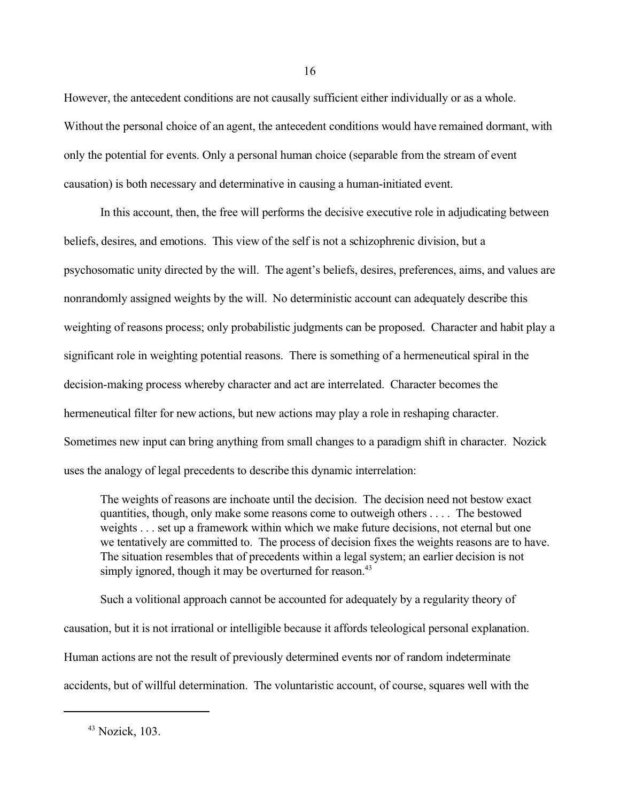However, the antecedent conditions are not causally sufficient either individually or as a whole. Without the personal choice of an agent, the antecedent conditions would have remained dormant, with only the potential for events. Only a personal human choice (separable from the stream of event causation) is both necessary and determinative in causing a human-initiated event.

In this account, then, the free will performs the decisive executive role in adjudicating between beliefs, desires, and emotions. This view of the self is not a schizophrenic division, but a psychosomatic unity directed by the will. The agent's beliefs, desires, preferences, aims, and values are nonrandomly assigned weights by the will. No deterministic account can adequately describe this weighting of reasons process; only probabilistic judgments can be proposed. Character and habit play a significant role in weighting potential reasons. There is something of a hermeneutical spiral in the decision-making process whereby character and act are interrelated. Character becomes the hermeneutical filter for new actions, but new actions may play a role in reshaping character. Sometimes new input can bring anything from small changes to a paradigm shift in character. Nozick uses the analogy of legal precedents to describe this dynamic interrelation:

The weights of reasons are inchoate until the decision. The decision need not bestow exact quantities, though, only make some reasons come to outweigh others . . . . The bestowed weights . . . set up a framework within which we make future decisions, not eternal but one we tentatively are committed to. The process of decision fixes the weights reasons are to have. The situation resembles that of precedents within a legal system; an earlier decision is not simply ignored, though it may be overturned for reason.<sup>43</sup>

Such a volitional approach cannot be accounted for adequately by a regularity theory of causation, but it is not irrational or intelligible because it affords teleological personal explanation. Human actions are not the result of previously determined events nor of random indeterminate accidents, but of willful determination. The voluntaristic account, of course, squares well with the

<sup>43</sup> Nozick, 103.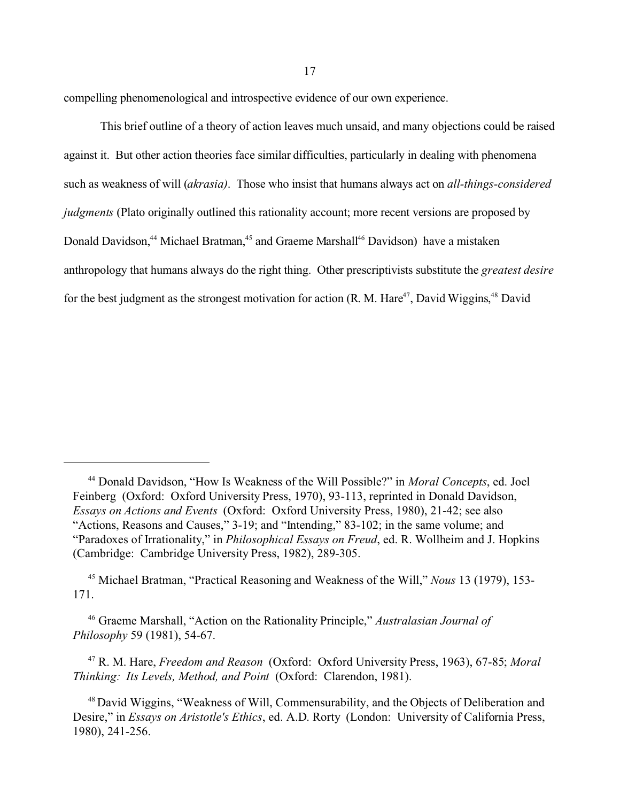compelling phenomenological and introspective evidence of our own experience.

This brief outline of a theory of action leaves much unsaid, and many objections could be raised against it. But other action theories face similar difficulties, particularly in dealing with phenomena such as weakness of will (*akrasia)*. Those who insist that humans always act on *all-things-considered judgments* (Plato originally outlined this rationality account; more recent versions are proposed by Donald Davidson,<sup>44</sup> Michael Bratman,<sup>45</sup> and Graeme Marshall<sup>46</sup> Davidson) have a mistaken anthropology that humans always do the right thing. Other prescriptivists substitute the *greatest desire* for the best judgment as the strongest motivation for action (R. M. Hare<sup>47</sup>, David Wiggins,<sup>48</sup> David

<sup>44</sup> Donald Davidson, "How Is Weakness of the Will Possible?" in *Moral Concepts*, ed. Joel Feinberg (Oxford: Oxford University Press, 1970), 93-113, reprinted in Donald Davidson, *Essays on Actions and Events* (Oxford: Oxford University Press, 1980), 21-42; see also "Actions, Reasons and Causes," 3-19; and "Intending," 83-102; in the same volume; and "Paradoxes of Irrationality," in *Philosophical Essays on Freud*, ed. R. Wollheim and J. Hopkins (Cambridge: Cambridge University Press, 1982), 289-305.

<sup>45</sup> Michael Bratman, "Practical Reasoning and Weakness of the Will," *Nous* 13 (1979), 153- 171.

<sup>46</sup> Graeme Marshall, "Action on the Rationality Principle," *Australasian Journal of Philosophy* 59 (1981), 54-67.

<sup>47</sup> R. M. Hare, *Freedom and Reason* (Oxford: Oxford University Press, 1963), 67-85; *Moral Thinking: Its Levels, Method, and Point* (Oxford: Clarendon, 1981).

<sup>&</sup>lt;sup>48</sup> David Wiggins, "Weakness of Will, Commensurability, and the Objects of Deliberation and Desire," in *Essays on Aristotle's Ethics*, ed. A.D. Rorty (London: University of California Press, 1980), 241-256.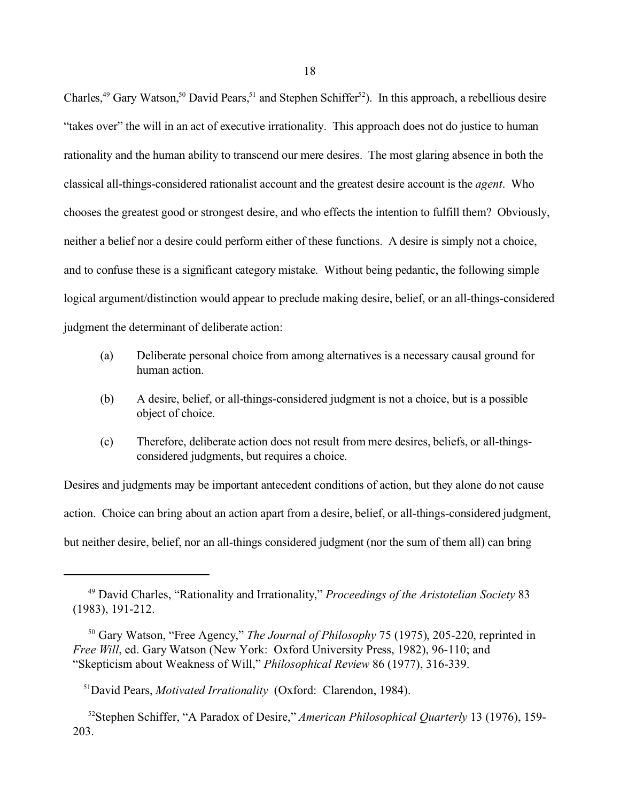Charles,<sup>49</sup> Gary Watson,<sup>50</sup> David Pears,<sup>51</sup> and Stephen Schiffer<sup>52</sup>). In this approach, a rebellious desire "takes over" the will in an act of executive irrationality. This approach does not do justice to human rationality and the human ability to transcend our mere desires. The most glaring absence in both the classical all-things-considered rationalist account and the greatest desire account is the *agent*. Who chooses the greatest good or strongest desire, and who effects the intention to fulfill them? Obviously, neither a belief nor a desire could perform either of these functions. A desire is simply not a choice, and to confuse these is a significant category mistake. Without being pedantic, the following simple logical argument/distinction would appear to preclude making desire, belief, or an all-things-considered judgment the determinant of deliberate action:

- (a) Deliberate personal choice from among alternatives is a necessary causal ground for human action.
- (b) A desire, belief, or all-things-considered judgment is not a choice, but is a possible object of choice.
- (c) Therefore, deliberate action does not result from mere desires, beliefs, or all-thingsconsidered judgments, but requires a choice.

Desires and judgments may be important antecedent conditions of action, but they alone do not cause action. Choice can bring about an action apart from a desire, belief, or all-things-considered judgment, but neither desire, belief, nor an all-things considered judgment (nor the sum of them all) can bring

<sup>49</sup> David Charles, "Rationality and Irrationality," *Proceedings of the Aristotelian Society* 83 (1983), 191-212.

<sup>50</sup> Gary Watson, "Free Agency," *The Journal of Philosophy* 75 (1975), 205-220, reprinted in *Free Will*, ed. Gary Watson (New York: Oxford University Press, 1982), 96-110; and "Skepticism about Weakness of Will," *Philosophical Review* 86 (1977), 316-339.

<sup>51</sup>David Pears, *Motivated Irrationality* (Oxford: Clarendon, 1984).

<sup>52</sup>Stephen Schiffer, "A Paradox of Desire," *American Philosophical Quarterly* 13 (1976), 159- 203.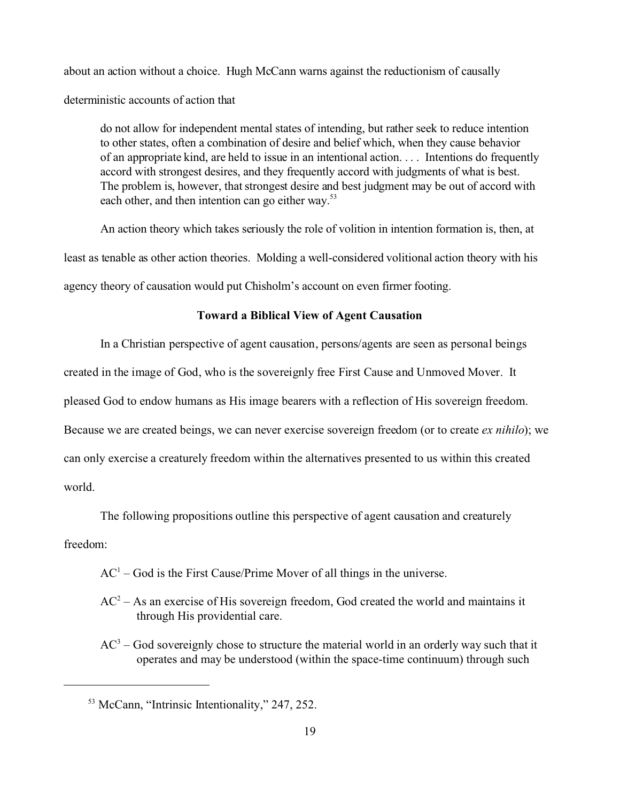about an action without a choice. Hugh McCann warns against the reductionism of causally deterministic accounts of action that

do not allow for independent mental states of intending, but rather seek to reduce intention to other states, often a combination of desire and belief which, when they cause behavior of an appropriate kind, are held to issue in an intentional action. . . . Intentions do frequently accord with strongest desires, and they frequently accord with judgments of what is best. The problem is, however, that strongest desire and best judgment may be out of accord with each other, and then intention can go either way.<sup>53</sup>

An action theory which takes seriously the role of volition in intention formation is, then, at least as tenable as other action theories. Molding a well-considered volitional action theory with his agency theory of causation would put Chisholm's account on even firmer footing.

# **Toward a Biblical View of Agent Causation**

In a Christian perspective of agent causation, persons/agents are seen as personal beings created in the image of God, who is the sovereignly free First Cause and Unmoved Mover. It pleased God to endow humans as His image bearers with a reflection of His sovereign freedom. Because we are created beings, we can never exercise sovereign freedom (or to create *ex nihilo*); we can only exercise a creaturely freedom within the alternatives presented to us within this created world.

The following propositions outline this perspective of agent causation and creaturely

freedom:

 $AC<sup>1</sup>$  – God is the First Cause/Prime Mover of all things in the universe.

- $AC<sup>2</sup> As$  an exercise of His sovereign freedom, God created the world and maintains it through His providential care.
- $AC<sup>3</sup> God$  sovereignly chose to structure the material world in an orderly way such that it operates and may be understood (within the space-time continuum) through such

<sup>53</sup> McCann, "Intrinsic Intentionality," 247, 252.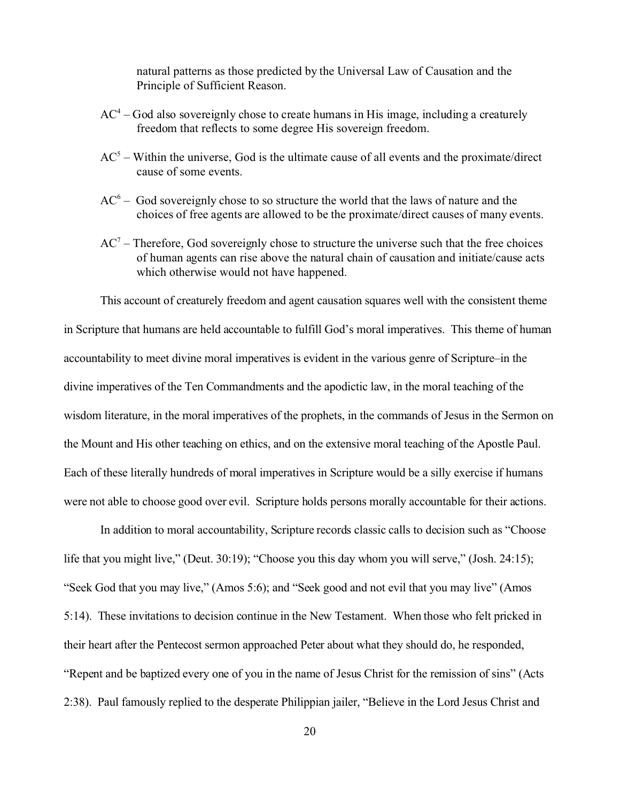natural patterns as those predicted by the Universal Law of Causation and the Principle of Sufficient Reason.

- $AC<sup>4</sup> God also sovereignly chose to create humans in His image, including a creating$ freedom that reflects to some degree His sovereign freedom.
- $AC<sup>5</sup>$  Within the universe, God is the ultimate cause of all events and the proximate/direct cause of some events.
- $AC<sup>6</sup>$  God sovereignly chose to so structure the world that the laws of nature and the choices of free agents are allowed to be the proximate/direct causes of many events.
- $AC<sup>7</sup>$  Therefore, God sovereignly chose to structure the universe such that the free choices of human agents can rise above the natural chain of causation and initiate/cause acts which otherwise would not have happened.

This account of creaturely freedom and agent causation squares well with the consistent theme in Scripture that humans are held accountable to fulfill God's moral imperatives. This theme of human accountability to meet divine moral imperatives is evident in the various genre of Scripture–in the divine imperatives of the Ten Commandments and the apodictic law, in the moral teaching of the wisdom literature, in the moral imperatives of the prophets, in the commands of Jesus in the Sermon on the Mount and His other teaching on ethics, and on the extensive moral teaching of the Apostle Paul. Each of these literally hundreds of moral imperatives in Scripture would be a silly exercise if humans were not able to choose good over evil. Scripture holds persons morally accountable for their actions.

In addition to moral accountability, Scripture records classic calls to decision such as "Choose life that you might live," (Deut. 30:19); "Choose you this day whom you will serve," (Josh. 24:15); "Seek God that you may live," (Amos 5:6); and "Seek good and not evil that you may live" (Amos 5:14). These invitations to decision continue in the New Testament. When those who felt pricked in their heart after the Pentecost sermon approached Peter about what they should do, he responded, "Repent and be baptized every one of you in the name of Jesus Christ for the remission of sins" (Acts 2:38). Paul famously replied to the desperate Philippian jailer, "Believe in the Lord Jesus Christ and